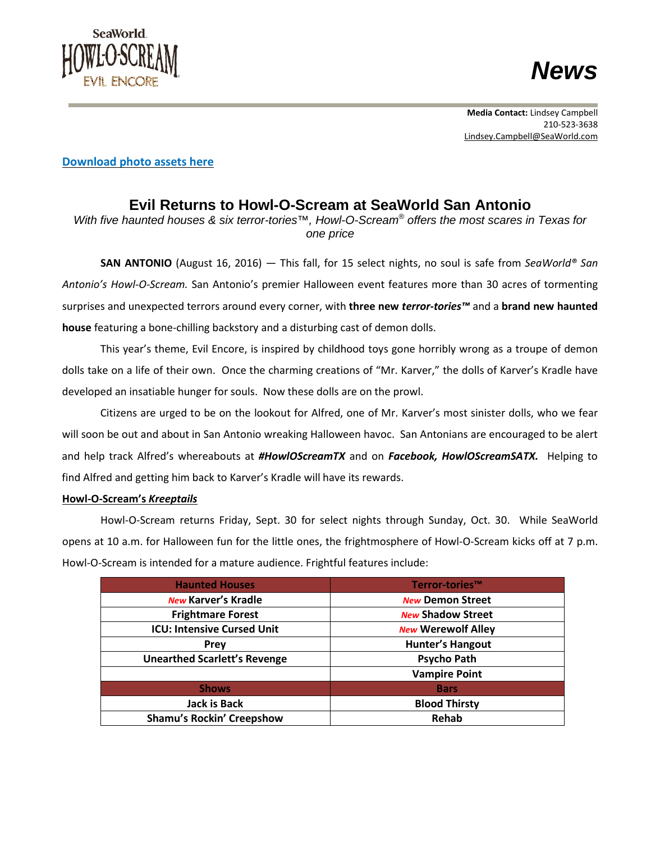



## **[Download](https://www.seaworldlibrary.com/c/zv4wxg1m) photo assets here**

## **Evil Returns to Howl-O-Scream at SeaWorld San Antonio**

*With five haunted houses & six terror-tories™, Howl-O-Scream® offers the most scares in Texas for one price*

**SAN ANTONIO** (August 16, 2016) — This fall, for 15 select nights, no soul is safe from *SeaWorld® San Antonio's Howl-O-Scream.* San Antonio's premier Halloween event features more than 30 acres of tormenting surprises and unexpected terrors around every corner, with **three new** *terror-tories™* and a **brand new haunted house** featuring a bone-chilling backstory and a disturbing cast of demon dolls.

This year's theme, Evil Encore, is inspired by childhood toys gone horribly wrong as a troupe of demon dolls take on a life of their own. Once the charming creations of "Mr. Karver," the dolls of Karver's Kradle have developed an insatiable hunger for souls. Now these dolls are on the prowl.

Citizens are urged to be on the lookout for Alfred, one of Mr. Karver's most sinister dolls, who we fear will soon be out and about in San Antonio wreaking Halloween havoc. San Antonians are encouraged to be alert and help track Alfred's whereabouts at *#HowlOScreamTX* and on *Facebook, HowlOScreamSATX.* Helping to find Alfred and getting him back to Karver's Kradle will have its rewards.

## **Howl-O-Scream's** *Kreeptails*

Howl-O-Scream returns Friday, Sept. 30 for select nights through Sunday, Oct. 30. While SeaWorld opens at 10 a.m. for Halloween fun for the little ones, the frightmosphere of Howl-O-Scream kicks off at 7 p.m. Howl-O-Scream is intended for a mature audience. Frightful features include:

| <b>Haunted Houses</b>               | Terror-tories™            |
|-------------------------------------|---------------------------|
| <b>New Karver's Kradle</b>          | <b>New Demon Street</b>   |
| <b>Frightmare Forest</b>            | <b>New Shadow Street</b>  |
| <b>ICU: Intensive Cursed Unit</b>   | <b>New Werewolf Alley</b> |
| <b>Prey</b>                         | <b>Hunter's Hangout</b>   |
| <b>Unearthed Scarlett's Revenge</b> | <b>Psycho Path</b>        |
|                                     | <b>Vampire Point</b>      |
| <b>Shows</b>                        | <b>Bars</b>               |
| <b>Jack is Back</b>                 | <b>Blood Thirsty</b>      |
| <b>Shamu's Rockin' Creepshow</b>    | <b>Rehab</b>              |